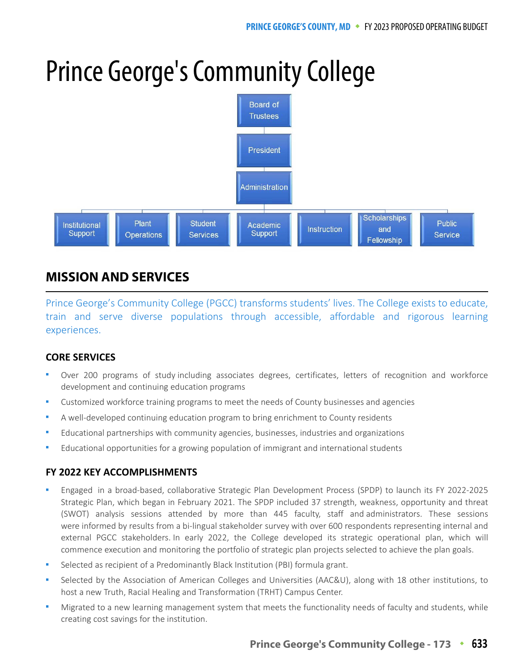# Prince George's Community College



## **MISSION AND SERVICES**

Prince George's Community College (PGCC) transforms students' lives. The College exists to educate, train and serve diverse populations through accessible, affordable and rigorous learning experiences.

#### **CORE SERVICES**

- Over 200 programs of study including associates degrees, certificates, letters of recognition and workforce development and continuing education programs
- Customized workforce training programs to meet the needs of County businesses and agencies
- A well-developed continuing education program to bring enrichment to County residents
- Educational partnerships with community agencies, businesses, industries and organizations
- Educational opportunities for a growing population of immigrant and international students

#### **FY 2022 KEY ACCOMPLISHMENTS**

- Engaged in a broad-based, collaborative Strategic Plan Development Process (SPDP) to launch its FY 2022-2025 Strategic Plan, which began in February 2021. The SPDP included 37 strength, weakness, opportunity and threat (SWOT) analysis sessions attended by more than 445 faculty, staff and administrators. These sessions were informed by results from a bi-lingual stakeholder survey with over 600 respondents representing internal and external PGCC stakeholders. In early 2022, the College developed its strategic operational plan, which will commence execution and monitoring the portfolio of strategic plan projects selected to achieve the plan goals.
- Selected as recipient of a Predominantly Black Institution (PBI) formula grant.
- Selected by the Association of American Colleges and Universities (AAC&U), along with 18 other institutions, to host a new Truth, Racial Healing and Transformation (TRHT) Campus Center.
- Migrated to a new learning management system that meets the functionality needs of faculty and students, while creating cost savings for the institution.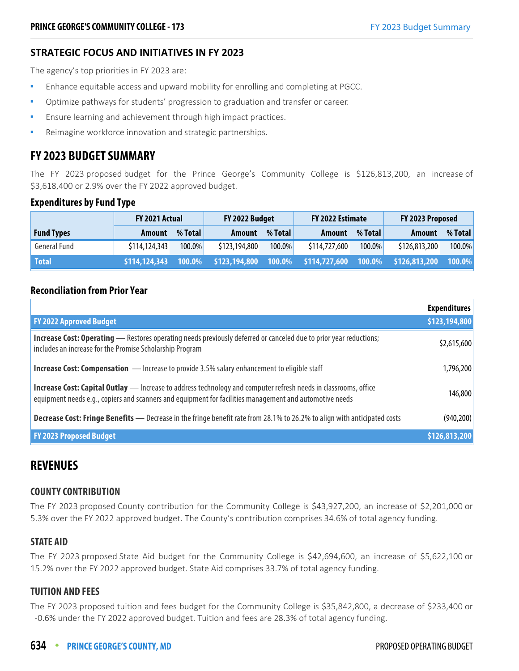#### **STRATEGIC FOCUS AND INITIATIVES IN FY 2023**

The agency's top priorities in FY 2023 are:

- Enhance equitable access and upward mobility for enrolling and completing at PGCC.
- Optimize pathways for students' progression to graduation and transfer or career.
- Ensure learning and achievement through high impact practices.
- Reimagine workforce innovation and strategic partnerships.

#### **FY 2023 BUDGET SUMMARY**

The FY 2023 proposed budget for the Prince George's Community College is \$126,813,200, an increase of \$3,618,400 or 2.9% over the FY 2022 approved budget.

#### **Expenditures by Fund Type**

|                   | FY 2021 Actual |         | FY 2022 Budget                                                 |         | FY 2022 Estimate<br>FY 2023 Proposed |           |               |         |  |
|-------------------|----------------|---------|----------------------------------------------------------------|---------|--------------------------------------|-----------|---------------|---------|--|
| <b>Fund Types</b> | Amount         | % Total | <b>Amount</b>                                                  | % Total | Amount                               | % Total   | <b>Amount</b> | % Total |  |
| General Fund      | \$114,124,343  | 100.0%  | \$123,194,800                                                  | 100.0%  | \$114,727,600                        | $100.0\%$ | \$126,813,200 | 100.0%  |  |
| <b>Total</b>      | \$114,124,343  |         | 100.0% \$123,194,800 100.0% \$114,727,600 100.0% \$126,813,200 |         |                                      |           |               | 100.0%  |  |

#### **Reconciliation from Prior Year**

|                                                                                                                                                                                                                                   | <b>Expenditures</b> |
|-----------------------------------------------------------------------------------------------------------------------------------------------------------------------------------------------------------------------------------|---------------------|
| <b>FY 2022 Approved Budget</b>                                                                                                                                                                                                    | \$123,194,800       |
| <b>Increase Cost: Operating</b> — Restores operating needs previously deferred or canceled due to prior year reductions;<br>includes an increase for the Promise Scholarship Program                                              | \$2,615,600         |
| <b>Increase Cost: Compensation</b> - Increase to provide 3.5% salary enhancement to eligible staff                                                                                                                                | 1,796,200           |
| <b>Increase Cost: Capital Outlay</b> - Increase to address technology and computer refresh needs in classrooms, office<br>equipment needs e.g., copiers and scanners and equipment for facilities management and automotive needs | 146,800             |
| Decrease Cost: Fringe Benefits - Decrease in the fringe benefit rate from 28.1% to 26.2% to align with anticipated costs                                                                                                          | (940, 200)          |
| <b>FY 2023 Proposed Budget</b>                                                                                                                                                                                                    | \$126,813,200       |

#### **REVENUES**

#### **COUNTY CONTRIBUTION**

The FY 2023 proposed County contribution for the Community College is \$43,927,200, an increase of \$2,201,000 or 5.3% over the FY 2022 approved budget. The County's contribution comprises 34.6% of total agency funding.

#### **STATE AID**

The FY 2023 proposed State Aid budget for the Community College is \$42,694,600, an increase of \$5,622,100 or 15.2% over the FY 2022 approved budget. State Aid comprises 33.7% of total agency funding.

#### **TUITION AND FEES**

The FY 2023 proposed tuition and fees budget for the Community College is \$35,842,800, a decrease of \$233,400 or -0.6% under the FY 2022 approved budget. Tuition and fees are 28.3% of total agency funding.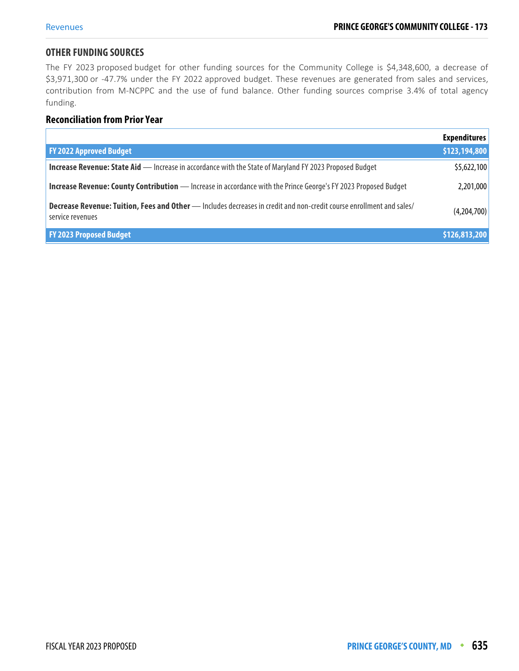#### **OTHER FUNDING SOURCES**

The FY 2023 proposed budget for other funding sources for the Community College is \$4,348,600, a decrease of \$3,971,300 or -47.7% under the FY 2022 approved budget. These revenues are generated from sales and services, contribution from M-NCPPC and the use of fund balance. Other funding sources comprise 3.4% of total agency funding.

#### **Reconciliation from Prior Year**

|                                                                                                                                          | <b>Expenditures</b> |
|------------------------------------------------------------------------------------------------------------------------------------------|---------------------|
| <b>FY 2022 Approved Budget</b>                                                                                                           | \$123,194,800       |
| <b>Increase Revenue: State Aid - Increase in accordance with the State of Maryland FY 2023 Proposed Budget</b>                           | \$5,622,100         |
| <b>Increase Revenue: County Contribution</b> - Increase in accordance with the Prince George's FY 2023 Proposed Budget                   | 2,201,000           |
| Decrease Revenue: Tuition, Fees and Other - Includes decreases in credit and non-credit course enrollment and sales/<br>service revenues | (4,204,700)         |
| <b>FY 2023 Proposed Budget</b>                                                                                                           | \$126,813,200       |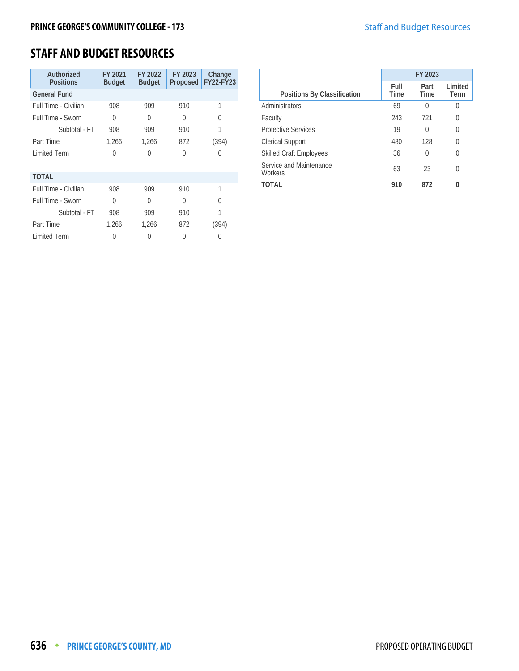#### **STAFF AND BUDGET RESOURCES**

| Authorized<br><b>Positions</b> | FY 2021<br><b>Budget</b> | FY 2022<br><b>Budget</b> | FY 2023<br>Proposed | Change<br><b>FY22-FY23</b> |
|--------------------------------|--------------------------|--------------------------|---------------------|----------------------------|
| <b>General Fund</b>            |                          |                          |                     |                            |
| Full Time - Civilian           | 908                      | 909                      | 910                 | 1                          |
| Full Time - Sworn              | 0                        | 0                        | 0                   | U                          |
| Subtotal - FT                  | 908                      | 909                      | 910                 |                            |
| Part Time                      | 1,266                    | 1,266                    | 872                 | (394)                      |
| <b>Limited Term</b>            | U                        | 0                        | Λ                   | 0                          |
| <b>TOTAL</b>                   |                          |                          |                     |                            |
| Full Time - Civilian           | 908                      | 909                      | 910                 | 1                          |
| Full Time - Sworn              | $\Omega$                 | U                        | Λ                   | U                          |
| Subtotal - FT                  | 908                      | 909                      | 910                 |                            |
| Part Time                      | 1,266                    | 1,266                    | 872                 | (394)                      |
| <b>Limited Term</b>            |                          | $\left( \right)$         | 0                   |                            |

|                                    | FY 2023      |                     |                 |
|------------------------------------|--------------|---------------------|-----------------|
| Positions By Classification        | Full<br>Time | Part<br><b>Time</b> | Limited<br>Term |
| Administrators                     | 69           | 0                   | 0               |
| Faculty                            | 243          | 721                 | 0               |
| <b>Protective Services</b>         | 19           | 0                   | 0               |
| <b>Clerical Support</b>            | 480          | 128                 | U               |
| <b>Skilled Craft Employees</b>     | 36           | 0                   | 0               |
| Service and Maintenance<br>Workers | 63           | 23                  | 0               |
| TOTAL                              | 910          | 872                 | O               |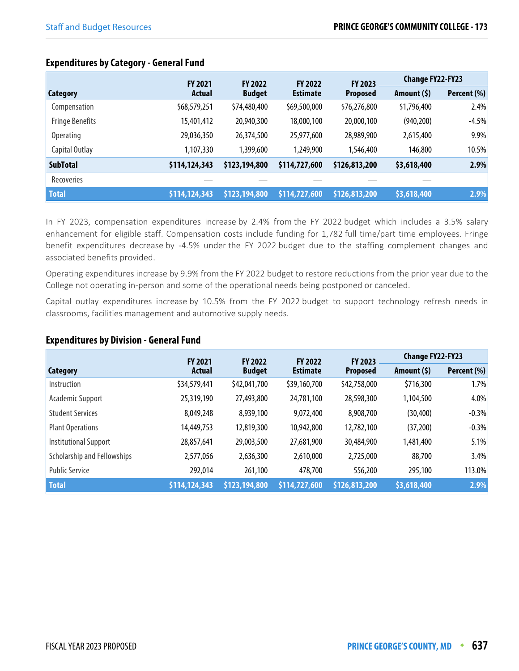|                        | <b>FY 2021</b> | <b>FY 2022</b> | <b>FY 2022</b>              | FY 2023         | <b>Change FY22-FY23</b> |             |
|------------------------|----------------|----------------|-----------------------------|-----------------|-------------------------|-------------|
| <b>Category</b>        | <b>Actual</b>  | <b>Budget</b>  | <b>Estimate</b>             | <b>Proposed</b> | Amount (\$)             | Percent (%) |
| Compensation           | \$68,579,251   | \$74,480,400   | \$69,500,000                | \$76,276,800    | \$1,796,400             | 2.4%        |
| <b>Fringe Benefits</b> | 15,401,412     | 20,940,300     | 18,000,100                  | 20,000,100      | (940, 200)              | $-4.5%$     |
| <b>Operating</b>       | 29,036,350     | 26,374,500     | 25,977,600                  | 28,989,900      | 2,615,400               | 9.9%        |
| Capital Outlay         | 1,107,330      | 1,399,600      | 1,249,900                   | 1,546,400       | 146,800                 | 10.5%       |
| <b>SubTotal</b>        | \$114,124,343  | \$123,194,800  | \$114,727,600               | \$126,813,200   | \$3,618,400             | 2.9%        |
| <b>Recoveries</b>      |                |                |                             |                 |                         |             |
| <b>Total</b>           | \$114,124,343  | \$123,194,800  | $\frac{1}{2}$ \$114,727,600 | \$126,813,200   | \$3,618,400             | 2.9%        |

In FY 2023, compensation expenditures increase by 2.4% from the FY 2022 budget which includes a 3.5% salary enhancement for eligible staff. Compensation costs include funding for 1,782 full time/part time employees. Fringe benefit expenditures decrease by -4.5% under the FY 2022 budget due to the staffing complement changes and associated benefits provided.

Operating expenditures increase by 9.9% from the FY 2022 budget to restore reductions from the prior year due to the College not operating in-person and some of the operational needs being postponed or canceled.

Capital outlay expenditures increase by 10.5% from the FY 2022 budget to support technology refresh needs in classrooms, facilities management and automotive supply needs.

#### **Expenditures by Division - General Fund**

|                             | <b>FY 2021</b> | <b>FY 2022</b> | <b>FY 2022</b>  | <b>FY 2023</b>  | <b>Change FY22-FY23</b> |             |
|-----------------------------|----------------|----------------|-----------------|-----------------|-------------------------|-------------|
| <b>Category</b>             | Actual         | <b>Budget</b>  | <b>Estimate</b> | <b>Proposed</b> | Amount $(5)$            | Percent (%) |
| Instruction                 | \$34,579,441   | \$42,041,700   | \$39,160,700    | \$42,758,000    | \$716,300               | 1.7%        |
| Academic Support            | 25,319,190     | 27,493,800     | 24,781,100      | 28,598,300      | 1,104,500               | 4.0%        |
| <b>Student Services</b>     | 8,049,248      | 8,939,100      | 9,072,400       | 8,908,700       | (30, 400)               | $-0.3%$     |
| <b>Plant Operations</b>     | 14,449,753     | 12,819,300     | 10,942,800      | 12,782,100      | (37,200)                | $-0.3%$     |
| Institutional Support       | 28,857,641     | 29,003,500     | 27,681,900      | 30,484,900      | ,481,400                | 5.1%        |
| Scholarship and Fellowships | 2,577,056      | 2,636,300      | 2,610,000       | 2,725,000       | 88,700                  | 3.4%        |
| <b>Public Service</b>       | 292,014        | 261,100        | 478,700         | 556,200         | 295,100                 | 113.0%      |
| <b>Total</b>                | \$114,124,343  | \$123,194,800  | \$114,727,600   | \$126,813,200   | \$3,618,400             | 2.9%        |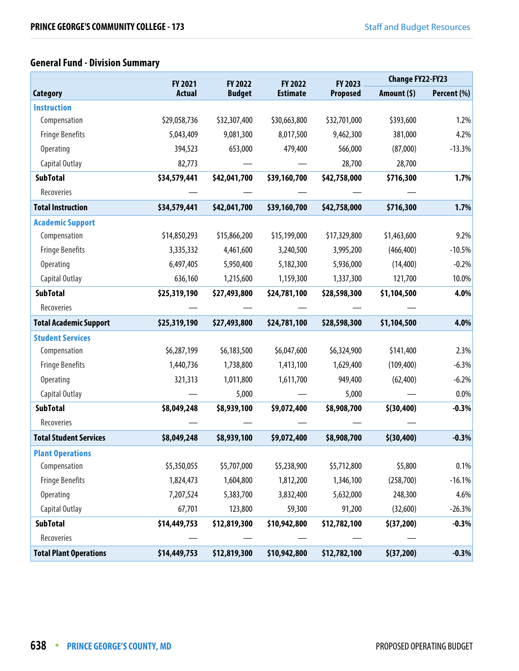### **General Fund - Division Summary**

|                               |               | <b>FY 2021</b><br>FY 2022 |                            | FY 2023         | <b>Change FY22-FY23</b> |             |
|-------------------------------|---------------|---------------------------|----------------------------|-----------------|-------------------------|-------------|
| <b>Category</b>               | <b>Actual</b> | <b>Budget</b>             | FY 2022<br><b>Estimate</b> | <b>Proposed</b> | Amount (\$)             | Percent (%) |
| <b>Instruction</b>            |               |                           |                            |                 |                         |             |
| Compensation                  | \$29,058,736  | \$32,307,400              | \$30,663,800               | \$32,701,000    | \$393,600               | 1.2%        |
| <b>Fringe Benefits</b>        | 5,043,409     | 9,081,300                 | 8,017,500                  | 9,462,300       | 381,000                 | 4.2%        |
| <b>Operating</b>              | 394,523       | 653,000                   | 479,400                    | 566,000         | (87,000)                | $-13.3%$    |
| Capital Outlay                | 82,773        |                           |                            | 28,700          | 28,700                  |             |
| <b>SubTotal</b>               | \$34,579,441  | \$42,041,700              | \$39,160,700               | \$42,758,000    | \$716,300               | 1.7%        |
| Recoveries                    |               |                           |                            |                 |                         |             |
| <b>Total Instruction</b>      | \$34,579,441  | \$42,041,700              | \$39,160,700               | \$42,758,000    | \$716,300               | 1.7%        |
| <b>Academic Support</b>       |               |                           |                            |                 |                         |             |
| Compensation                  | \$14,850,293  | \$15,866,200              | \$15,199,000               | \$17,329,800    | \$1,463,600             | 9.2%        |
| <b>Fringe Benefits</b>        | 3,335,332     | 4,461,600                 | 3,240,500                  | 3,995,200       | (466, 400)              | $-10.5%$    |
| <b>Operating</b>              | 6,497,405     | 5,950,400                 | 5,182,300                  | 5,936,000       | (14, 400)               | $-0.2%$     |
| Capital Outlay                | 636,160       | 1,215,600                 | 1,159,300                  | 1,337,300       | 121,700                 | 10.0%       |
| <b>SubTotal</b>               | \$25,319,190  | \$27,493,800              | \$24,781,100               | \$28,598,300    | \$1,104,500             | 4.0%        |
| Recoveries                    |               |                           |                            |                 |                         |             |
| <b>Total Academic Support</b> | \$25,319,190  | \$27,493,800              | \$24,781,100               | \$28,598,300    | \$1,104,500             | 4.0%        |
| <b>Student Services</b>       |               |                           |                            |                 |                         |             |
| Compensation                  | \$6,287,199   | \$6,183,500               | \$6,047,600                | \$6,324,900     | \$141,400               | 2.3%        |
| <b>Fringe Benefits</b>        | 1,440,736     | 1,738,800                 | 1,413,100                  | 1,629,400       | (109, 400)              | $-6.3%$     |
| <b>Operating</b>              | 321,313       | 1,011,800                 | 1,611,700                  | 949,400         | (62, 400)               | $-6.2%$     |
| Capital Outlay                |               | 5,000                     |                            | 5,000           |                         | 0.0%        |
| <b>SubTotal</b>               | \$8,049,248   | \$8,939,100               | \$9,072,400                | \$8,908,700     | \$(30, 400)             | $-0.3%$     |
| Recoveries                    |               |                           |                            |                 |                         |             |
| <b>Total Student Services</b> | \$8,049,248   | \$8,939,100               | \$9,072,400                | \$8,908,700     | \$(30, 400)             | $-0.3%$     |
| <b>Plant Operations</b>       |               |                           |                            |                 |                         |             |
| Compensation                  | \$5,350,055   | \$5,707,000               | \$5,238,900                | \$5,712,800     | \$5,800                 | 0.1%        |
| <b>Fringe Benefits</b>        | 1,824,473     | 1,604,800                 | 1,812,200                  | 1,346,100       | (258, 700)              | $-16.1%$    |
| <b>Operating</b>              | 7,207,524     | 5,383,700                 | 3,832,400                  | 5,632,000       | 248,300                 | 4.6%        |
| Capital Outlay                | 67,701        | 123,800                   | 59,300                     | 91,200          | (32,600)                | $-26.3%$    |
| <b>SubTotal</b>               | \$14,449,753  | \$12,819,300              | \$10,942,800               | \$12,782,100    | \$(37,200)              | $-0.3%$     |
| Recoveries                    |               |                           |                            |                 |                         |             |
| <b>Total Plant Operations</b> | \$14,449,753  | \$12,819,300              | \$10,942,800               | \$12,782,100    | \$(37,200)              | $-0.3%$     |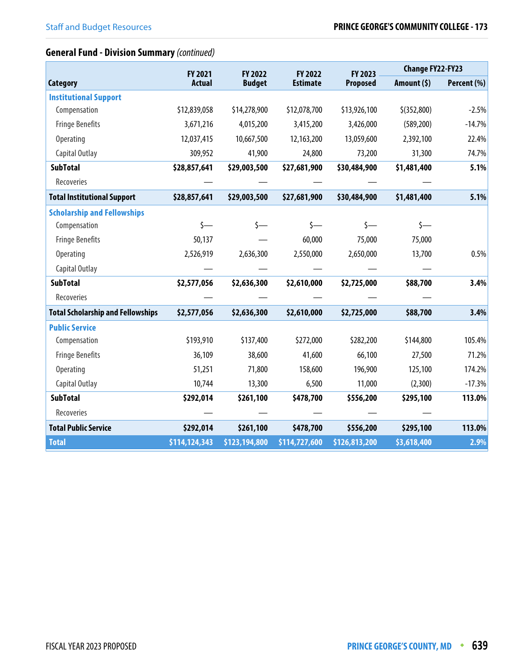#### **General Fund - Division Summary** (continued)

|                                          | FY 2021<br>FY 2022 |               | FY 2022         | FY 2023       | <b>Change FY22-FY23</b> |             |  |
|------------------------------------------|--------------------|---------------|-----------------|---------------|-------------------------|-------------|--|
| <b>Category</b>                          | <b>Actual</b>      | <b>Budget</b> | <b>Estimate</b> | Proposed      | Amount $(5)$            | Percent (%) |  |
| <b>Institutional Support</b>             |                    |               |                 |               |                         |             |  |
| Compensation                             | \$12,839,058       | \$14,278,900  | \$12,078,700    | \$13,926,100  | $$$ (352,800)           | $-2.5%$     |  |
| <b>Fringe Benefits</b>                   | 3,671,216          | 4,015,200     | 3,415,200       | 3,426,000     | (589, 200)              | $-14.7%$    |  |
| <b>Operating</b>                         | 12,037,415         | 10,667,500    | 12,163,200      | 13,059,600    | 2,392,100               | 22.4%       |  |
| Capital Outlay                           | 309,952            | 41,900        | 24,800          | 73,200        | 31,300                  | 74.7%       |  |
| <b>SubTotal</b>                          | \$28,857,641       | \$29,003,500  | \$27,681,900    | \$30,484,900  | \$1,481,400             | 5.1%        |  |
| Recoveries                               |                    |               |                 |               |                         |             |  |
| <b>Total Institutional Support</b>       | \$28,857,641       | \$29,003,500  | \$27,681,900    | \$30,484,900  | \$1,481,400             | 5.1%        |  |
| <b>Scholarship and Fellowships</b>       |                    |               |                 |               |                         |             |  |
| Compensation                             | $s-$               | $\zeta$ —     | $\zeta$ —       | $\zeta$ —     | $\zeta$ —               |             |  |
| <b>Fringe Benefits</b>                   | 50,137             |               | 60,000          | 75,000        | 75,000                  |             |  |
| <b>Operating</b>                         | 2,526,919          | 2,636,300     | 2,550,000       | 2,650,000     | 13,700                  | 0.5%        |  |
| Capital Outlay                           |                    |               |                 |               |                         |             |  |
| <b>SubTotal</b>                          | \$2,577,056        | \$2,636,300   | \$2,610,000     | \$2,725,000   | \$88,700                | 3.4%        |  |
| Recoveries                               |                    |               |                 |               |                         |             |  |
| <b>Total Scholarship and Fellowships</b> | \$2,577,056        | \$2,636,300   | \$2,610,000     | \$2,725,000   | \$88,700                | 3.4%        |  |
| <b>Public Service</b>                    |                    |               |                 |               |                         |             |  |
| Compensation                             | \$193,910          | \$137,400     | \$272,000       | \$282,200     | \$144,800               | 105.4%      |  |
| <b>Fringe Benefits</b>                   | 36,109             | 38,600        | 41,600          | 66,100        | 27,500                  | 71.2%       |  |
| <b>Operating</b>                         | 51,251             | 71,800        | 158,600         | 196,900       | 125,100                 | 174.2%      |  |
| Capital Outlay                           | 10,744             | 13,300        | 6,500           | 11,000        | (2,300)                 | $-17.3%$    |  |
| <b>SubTotal</b>                          | \$292,014          | \$261,100     | \$478,700       | \$556,200     | \$295,100               | 113.0%      |  |
| Recoveries                               |                    |               |                 |               |                         |             |  |
| <b>Total Public Service</b>              | \$292,014          | \$261,100     | \$478,700       | \$556,200     | \$295,100               | 113.0%      |  |
| <b>Total</b>                             | \$114,124,343      | \$123,194,800 | \$114,727,600   | \$126,813,200 | \$3,618,400             | 2.9%        |  |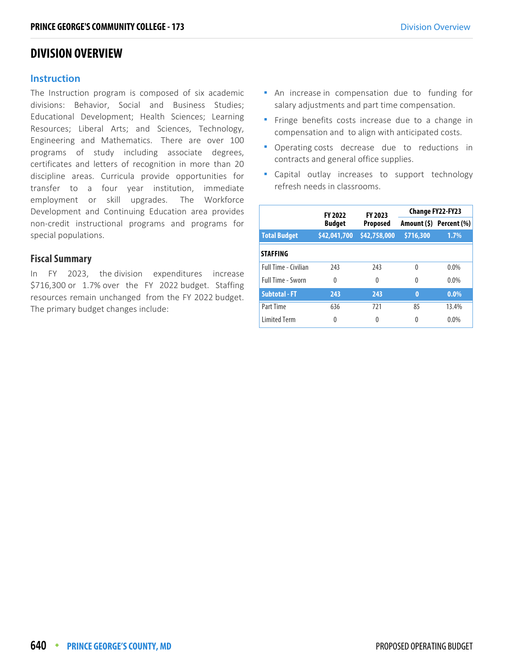#### **DIVISION OVERVIEW**

#### **Instruction**

The Instruction program is composed of six academic divisions: Behavior, Social and Business Studies; Educational Development; Health Sciences; Learning Resources; Liberal Arts; and Sciences, Technology, Engineering and Mathematics. There are over 100 programs of study including associate degrees, certificates and letters of recognition in more than 20 discipline areas. Curricula provide opportunities for transfer to a four year institution, immediate employment or skill upgrades. The Workforce Development and Continuing Education area provides non-credit instructional programs and programs for special populations.

#### **Fiscal Summary**

In FY 2023, the division expenditures increase \$716,300 or 1.7% over the FY 2022 budget. Staffing resources remain unchanged from the FY 2022 budget. The primary budget changes include:

- An increase in compensation due to funding for salary adjustments and part time compensation.
- **Finge benefits costs increase due to a change in** compensation and to align with anticipated costs.
- Operating costs decrease due to reductions in contracts and general office supplies.
- Capital outlay increases to support technology refresh needs in classrooms.

|                          | <b>FY 2022</b> | FY 2023         | <b>Change FY22-FY23</b> |                         |  |
|--------------------------|----------------|-----------------|-------------------------|-------------------------|--|
|                          | <b>Budget</b>  | <b>Proposed</b> |                         | Amount (\$) Percent (%) |  |
| <b>Total Budget</b>      | \$42,041,700   | \$42,758,000    | \$716,300               | 1.7%                    |  |
| <b>STAFFING</b>          |                |                 |                         |                         |  |
| Full Time - Civilian     | 243            | 243             | 0                       | $0.0\%$                 |  |
| <b>Full Time - Sworn</b> | $\Omega$       | $\Omega$        | 0                       | 0.0%                    |  |
| <b>Subtotal - FT</b>     | 243            | 243             | $\bf{0}$                | $0.0\%$                 |  |
| Part Time                | 636            | 721             | 85                      | 13.4%                   |  |
| <b>Limited Term</b>      | 0              | 0               | 0                       | 0.0%                    |  |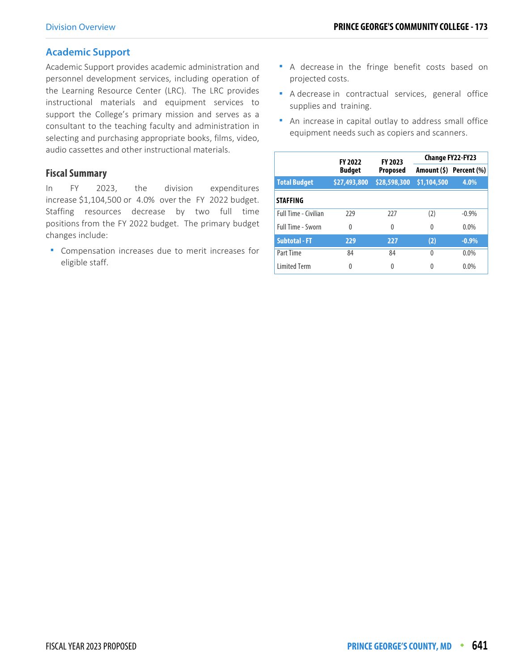#### **Academic Support**

Academic Support provides academic administration and personnel development services, including operation of the Learning Resource Center (LRC). The LRC provides instructional materials and equipment services to support the College's primary mission and serves as a consultant to the teaching faculty and administration in selecting and purchasing appropriate books, films, video, audio cassettes and other instructional materials.

#### **Fiscal Summary**

In FY 2023, the division expenditures increase \$1,104,500 or 4.0% over the FY 2022 budget. Staffing resources decrease by two full time positions from the FY 2022 budget. The primary budget changes include:

 Compensation increases due to merit increases for eligible staff.

- A decrease in the fringe benefit costs based on projected costs.
- A decrease in contractual services, general office supplies and training.
- An increase in capital outlay to address small office equipment needs such as copiers and scanners.

|                             | <b>FY 2022</b> | FY 2023      | <b>Change FY22-FY23</b> |                         |  |
|-----------------------------|----------------|--------------|-------------------------|-------------------------|--|
|                             | <b>Budget</b>  | Proposed     |                         | Amount (\$) Percent (%) |  |
| <b>Total Budget</b>         | \$27,493,800   | \$28,598,300 | \$1,104,500             | 4.0%                    |  |
| <b>STAFFING</b>             |                |              |                         |                         |  |
| <b>Full Time - Civilian</b> | 229            | 777          | (2)                     | $-0.9%$                 |  |
| Full Time - Sworn           | $\Omega$       | 0            | 0                       | $0.0\%$                 |  |
| <b>Subtotal - FT</b>        | 229            | 227          | (2)                     | $-0.9%$                 |  |
| Part Time                   | 84             | 84           | 0                       | $0.0\%$                 |  |
| <b>Limited Term</b>         | 0              | 0            | 0                       | 0.0%                    |  |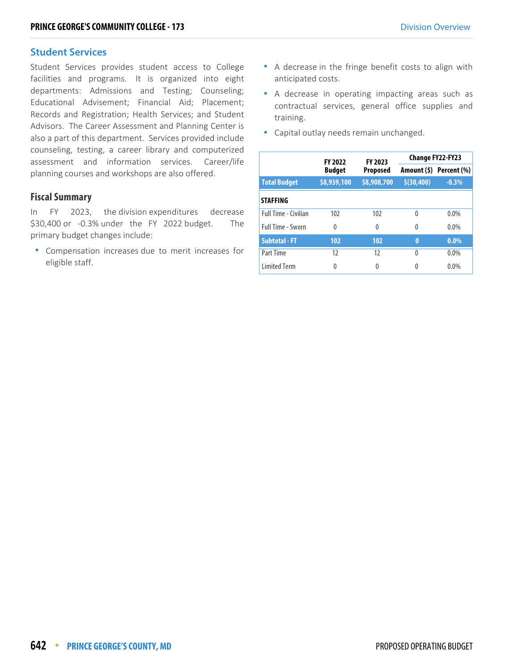#### **Student Services**

Student Services provides student access to College facilities and programs. It is organized into eight departments: Admissions and Testing; Counseling; Educational Advisement; Financial Aid; Placement; Records and Registration; Health Services; and Student Advisors. The Career Assessment and Planning Center is also a part of this department. Services provided include counseling, testing, a career library and computerized assessment and information services. Career/life planning courses and workshops are also offered.

#### **Fiscal Summary**

In FY 2023, the division expenditures decrease \$30,400 or -0.3% under the FY 2022 budget. The primary budget changes include:

**Compensation increases due to merit increases for** eligible staff.

- A decrease in the fringe benefit costs to align with anticipated costs.
- A decrease in operating impacting areas such as contractual services, general office supplies and training.
- **Capital outlay needs remain unchanged.**

|                             | <b>FY 2022</b> | FY 2023     |                     | <b>Change FY22-FY23</b> |
|-----------------------------|----------------|-------------|---------------------|-------------------------|
|                             | <b>Budget</b>  | Proposed    |                     | Amount (\$) Percent (%) |
| <b>Total Budget</b>         | \$8,939,100    | \$8,908,700 | \$ (30, 400)        | $-0.3%$                 |
| <b>STAFFING</b>             |                |             |                     |                         |
| <b>Full Time - Civilian</b> | 102            | 102         | $\Omega$            | $0.0\%$                 |
| <b>Full Time - Sworn</b>    | $\Omega$       | 0           | $0.0\%$<br>$\Omega$ |                         |
| <b>Subtotal - FT</b>        | 102            | 102         | $\bf{0}$            | $0.0\%$                 |
| Part Time                   | 12             | 12          | $\Omega$            | $0.0\%$                 |
| <b>Limited Term</b>         | 0              | 0           | $\Omega$            | $0.0\%$                 |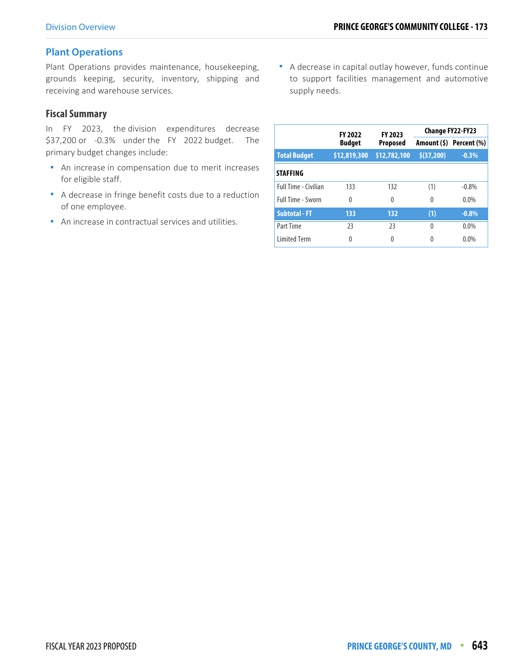#### **Plant Operations**

Plant Operations provides maintenance, housekeeping, grounds keeping, security, inventory, shipping and receiving and warehouse services.

#### **Fiscal Summary**

In FY 2023, the division expenditures decrease \$37,200 or -0.3% under the FY 2022 budget. The primary budget changes include:

- **An increase in compensation due to merit increases** for eligible staff.
- A decrease in fringe benefit costs due to a reduction of one employee.
- An increase in contractual services and utilities.

 A decrease in capital outlay however, funds continue to support facilities management and automotive supply needs.

|                          | <b>FY 2022</b> | FY 2023      |            | <b>Change FY22-FY23</b> |
|--------------------------|----------------|--------------|------------|-------------------------|
|                          | <b>Budget</b>  | Proposed     |            | Amount (\$) Percent (%) |
| <b>Total Budget</b>      | \$12,819,300   | \$12,782,100 | \$(37,200) | $-0.3%$                 |
| <b>STAFFING</b>          |                |              |            |                         |
| Full Time - Civilian     | 133            | 132          | (1)        | $-0.8%$                 |
| <b>Full Time - Sworn</b> | $\Omega$       | $\Omega$     | 0          | $0.0\%$                 |
| <b>Subtotal - FT</b>     | 133            | 132          | (1)        | $-0.8%$                 |
| Part Time                | 23             | 23           | 0          | $0.0\%$                 |
| <b>Limited Term</b>      | 0              | 0            | Λ          | 0.0%                    |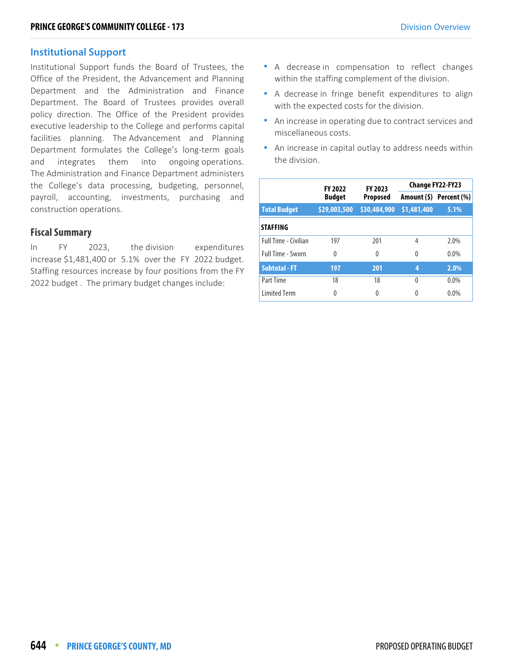#### **Institutional Support**

Institutional Support funds the Board of Trustees, the Office of the President, the Advancement and Planning Department and the Administration and Finance Department. The Board of Trustees provides overall policy direction. The Office of the President provides executive leadership to the College and performs capital facilities planning. The Advancement and Planning Department formulates the College's long-term goals and integrates them into ongoing operations. The Administration and Finance Department administers the College's data processing, budgeting, personnel, payroll, accounting, investments, purchasing and construction operations.

#### **Fiscal Summary**

In FY 2023, the division expenditures increase \$1,481,400 or 5.1% over the FY 2022 budget. Staffing resources increase by four positions from the FY 2022 budget . The primary budget changes include:

- A decrease in compensation to reflect changes within the staffing complement of the division.
- A decrease in fringe benefit expenditures to align with the expected costs for the division.
- An increase in operating due to contract services and miscellaneous costs.
- An increase in capital outlay to address needs within the division.

|                      | <b>FY 2022</b> | <b>FY 2023</b>  | <b>Change FY22-FY23</b> |                         |  |  |
|----------------------|----------------|-----------------|-------------------------|-------------------------|--|--|
|                      | <b>Budget</b>  | <b>Proposed</b> |                         | Amount (\$) Percent (%) |  |  |
| <b>Total Budget</b>  | \$29,003,500   | \$30,484,900    | \$1,481,400             | 5.1%                    |  |  |
| <b>STAFFING</b>      |                |                 |                         |                         |  |  |
| Full Time - Civilian | 197            | 201             | $\overline{4}$          | 2.0%                    |  |  |
| Full Time - Sworn    | $\Omega$       | $\theta$        | $\Omega$                | $0.0\%$                 |  |  |
| <b>Subtotal - FT</b> | 197            | 201             | 4                       | 2.0%                    |  |  |
| Part Time            | 18             | 18              | $\Omega$                | $0.0\%$                 |  |  |
| <b>Limited Term</b>  | 0              | 0               | 0                       | $0.0\%$                 |  |  |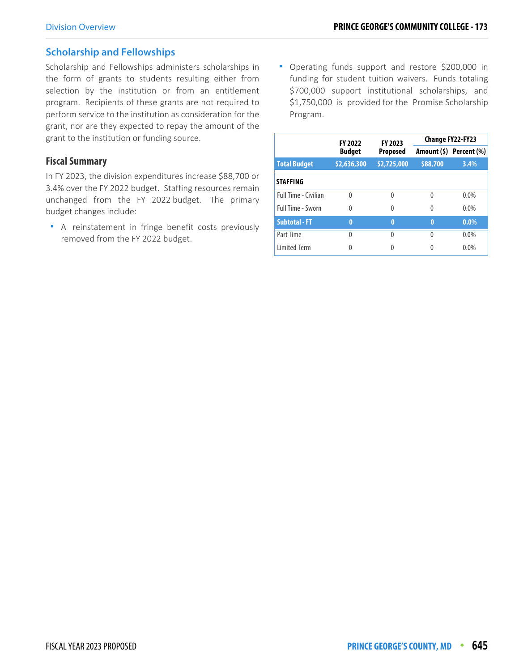#### **Scholarship and Fellowships**

Scholarship and Fellowships administers scholarships in the form of grants to students resulting either from selection by the institution or from an entitlement program. Recipients of these grants are not required to perform service to the institution as consideration for the grant, nor are they expected to repay the amount of the grant to the institution or funding source.

#### **Fiscal Summary**

In FY 2023, the division expenditures increase \$88,700 or 3.4% over the FY 2022 budget. Staffing resources remain unchanged from the FY 2022 budget. The primary budget changes include:

 A reinstatement in fringe benefit costs previously removed from the FY 2022 budget.

 Operating funds support and restore \$200,000 in funding for student tuition waivers. Funds totaling \$700,000 support institutional scholarships, and \$1,750,000 is provided for the Promise Scholarship Program.

|                             | <b>FY 2022</b> | FY 2023         |          | Change FY22-FY23        |
|-----------------------------|----------------|-----------------|----------|-------------------------|
|                             | <b>Budget</b>  | <b>Proposed</b> |          | Amount (\$) Percent (%) |
| <b>Total Budget</b>         | \$2,636,300    | \$2,725,000     | \$88,700 | 3.4%                    |
| <b>STAFFING</b>             |                |                 |          |                         |
| <b>Full Time - Civilian</b> | $\Omega$       | 0               | 0        | $0.0\%$                 |
| Full Time - Sworn           | $\Omega$       | 0               | 0        | $0.0\%$                 |
| <b>Subtotal - FT</b>        | $\bf{0}$       | 0               | $\bf{0}$ | $0.0\%$                 |
| Part Time                   | 0              | 0               | 0        | $0.0\%$                 |
| <b>Limited Term</b>         | 0              | 0               | 0        | $0.0\%$                 |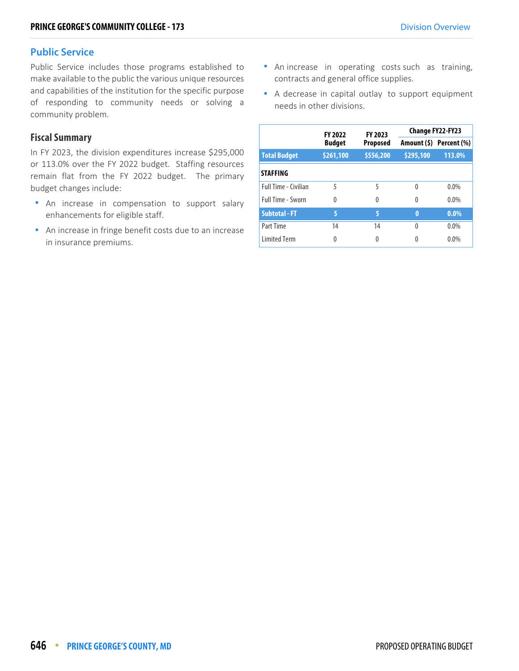#### **Public Service**

Public Service includes those programs established to make available to the public the various unique resources and capabilities of the institution for the specific purpose of responding to community needs or solving a community problem.

#### **Fiscal Summary**

In FY 2023, the division expenditures increase \$295,000 or 113.0% over the FY 2022 budget. Staffing resources remain flat from the FY 2022 budget. The primary budget changes include:

- **An increase in compensation to support salary** enhancements for eligible staff.
- **An increase in fringe benefit costs due to an increase** in insurance premiums.
- **An increase in operating costs such as training,** contracts and general office supplies.
- A decrease in capital outlay to support equipment needs in other divisions.

|                      | <b>FY 2022</b> | FY 2023         |           | <b>Change FY22-FY23</b> |  |
|----------------------|----------------|-----------------|-----------|-------------------------|--|
|                      | <b>Budget</b>  | <b>Proposed</b> |           | Amount (\$) Percent (%) |  |
| <b>Total Budget</b>  | \$261,100      | \$556,200       | \$295,100 | 113.0%                  |  |
| <b>STAFFING</b>      |                |                 |           |                         |  |
| Full Time - Civilian | 5              | 5               | $\Omega$  | $0.0\%$                 |  |
| Full Time - Sworn    | $\Omega$       | 0               | $\Omega$  | $0.0\%$                 |  |
| <b>Subtotal - FT</b> | 5              | 5               | 0         | $0.0\%$                 |  |
| Part Time            | 14             | 14              | 0         | $0.0\%$                 |  |
| <b>Limited Term</b>  | Λ              | 0               |           | 0.0%                    |  |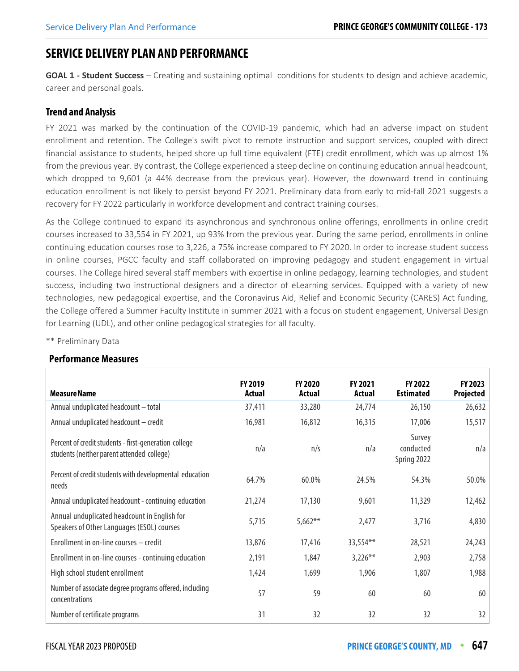#### **SERVICE DELIVERY PLAN AND PERFORMANCE**

**GOAL 1 - Student Success** *–* Creating and sustaining optimal conditions for students to design and achieve academic, career and personal goals.

#### **Trend and Analysis**

FY 2021 was marked by the continuation of the COVID-19 pandemic, which had an adverse impact on student enrollment and retention. The College's swift pivot to remote instruction and support services, coupled with direct financial assistance to students, helped shore up full time equivalent (FTE) credit enrollment, which was up almost 1% from the previous year. By contrast, the College experienced a steep decline on continuing education annual headcount, which dropped to 9,601 (a 44% decrease from the previous year). However, the downward trend in continuing education enrollment is not likely to persist beyond FY 2021. Preliminary data from early to mid-fall 2021 suggests a recovery for FY 2022 particularly in workforce development and contract training courses.

As the College continued to expand its asynchronous and synchronous online offerings, enrollments in online credit courses increased to 33,554 in FY 2021, up 93% from the previous year. During the same period, enrollments in online continuing education courses rose to 3,226, a 75% increase compared to FY 2020. In order to increase student success in online courses, PGCC faculty and staff collaborated on improving pedagogy and student engagement in virtual courses. The College hired several staff members with expertise in online pedagogy, learning technologies, and student success, including two instructional designers and a director of eLearning services. Equipped with a variety of new technologies, new pedagogical expertise, and the Coronavirus Aid, Relief and Economic Security (CARES) Act funding, the College offered a Summer Faculty Institute in summer 2021 with a focus on student engagement, Universal Design for Learning (UDL), and other online pedagogical strategies for all faculty.

| <b>Performance Measures</b> |
|-----------------------------|
|                             |

\*\* Preliminary Data

| <b>Measure Name</b>                                                                                 | <b>FY 2019</b><br>Actual | <b>FY 2020</b><br><b>Actual</b> | <b>FY 2021</b><br><b>Actual</b> | <b>FY 2022</b><br><b>Estimated</b> | FY 2023<br>Projected |
|-----------------------------------------------------------------------------------------------------|--------------------------|---------------------------------|---------------------------------|------------------------------------|----------------------|
| Annual unduplicated headcount - total                                                               | 37,411                   | 33,280                          | 24,774                          | 26,150                             | 26,632               |
| Annual unduplicated headcount - credit                                                              | 16,981                   | 16,812                          | 16,315                          | 17,006                             | 15,517               |
| Percent of credit students - first-generation college<br>students (neither parent attended college) | n/a                      | n/s                             | n/a                             | Survey<br>conducted<br>Spring 2022 | n/a                  |
| Percent of credit students with developmental education<br>needs                                    | 64.7%                    | 60.0%                           | 24.5%                           | 54.3%                              | 50.0%                |
| Annual unduplicated headcount - continuing education                                                | 21,274                   | 17,130                          | 9,601                           | 11,329                             | 12,462               |
| Annual unduplicated headcount in English for<br>Speakers of Other Languages (ESOL) courses          | 5,715                    | $5,662**$                       | 2,477                           | 3,716                              | 4,830                |
| Enrollment in on-line courses - credit                                                              | 13,876                   | 17,416                          | 33,554**                        | 28,521                             | 24,243               |
| Enrollment in on-line courses - continuing education                                                | 2,191                    | 1,847                           | $3,226***$                      | 2,903                              | 2,758                |
| High school student enrollment                                                                      | 1,424                    | 1,699                           | 1,906                           | 1,807                              | 1,988                |
| Number of associate degree programs offered, including<br>concentrations                            | 57                       | 59                              | 60                              | 60                                 | 60                   |
| Number of certificate programs                                                                      | 31                       | 32                              | 32                              | 32                                 | 32                   |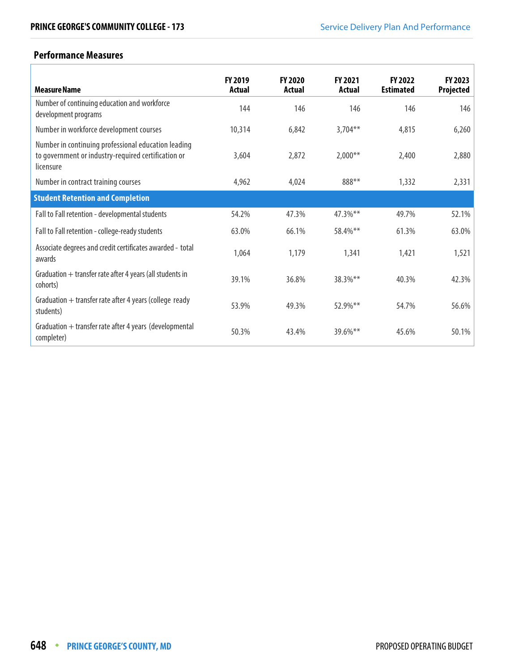#### **Performance Measures**

r

| <b>Measure Name</b>                                                                                                     | FY 2019<br>Actual | <b>FY 2020</b><br><b>Actual</b> | FY 2021<br>Actual | <b>FY 2022</b><br><b>Estimated</b> | <b>FY 2023</b><br>Projected |
|-------------------------------------------------------------------------------------------------------------------------|-------------------|---------------------------------|-------------------|------------------------------------|-----------------------------|
| Number of continuing education and workforce<br>development programs                                                    | 144               | 146                             | 146               | 146                                | 146                         |
| Number in workforce development courses                                                                                 | 10,314            | 6,842                           | $3,704***$        | 4,815                              | 6,260                       |
| Number in continuing professional education leading<br>to government or industry-required certification or<br>licensure | 3,604             | 2,872                           | $2,000**$         | 2,400                              | 2,880                       |
| Number in contract training courses                                                                                     | 4,962             | 4,024                           | 888**             | 1,332                              | 2,331                       |
| <b>Student Retention and Completion</b>                                                                                 |                   |                                 |                   |                                    |                             |
| Fall to Fall retention - developmental students                                                                         | 54.2%             | 47.3%                           | 47.3%**           | 49.7%                              | 52.1%                       |
| Fall to Fall retention - college-ready students                                                                         | 63.0%             | 66.1%                           | 58.4%**           | 61.3%                              | 63.0%                       |
| Associate degrees and credit certificates awarded - total<br>awards                                                     | 1,064             | 1,179                           | 1,341             | 1,421                              | 1,521                       |
| Graduation $+$ transfer rate after 4 years (all students in<br>cohorts)                                                 | 39.1%             | 36.8%                           | $38.3\%$ **       | 40.3%                              | 42.3%                       |
| Graduation $+$ transfer rate after 4 years (college ready<br>students)                                                  | 53.9%             | 49.3%                           | 52.9%**           | 54.7%                              | 56.6%                       |
| Graduation + transfer rate after 4 years (developmental<br>completer)                                                   | 50.3%             | 43.4%                           | $39.6\%$ **       | 45.6%                              | 50.1%                       |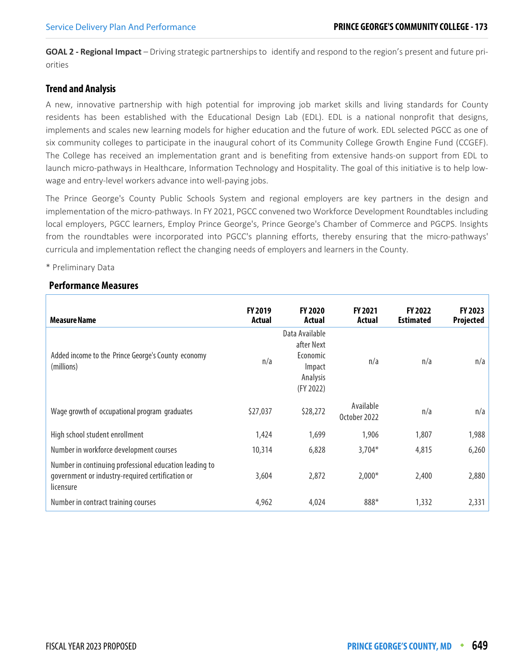**GOAL 2 - Regional Impact** *–* Driving strategic partnerships to identify and respond to the region's present and future priorities

#### **Trend and Analysis**

A new, innovative partnership with high potential for improving job market skills and living standards for County residents has been established with the Educational Design Lab (EDL). EDL is a national nonprofit that designs, implements and scales new learning models for higher education and the future of work. EDL selected PGCC as one of six community colleges to participate in the inaugural cohort of its Community College Growth Engine Fund (CCGEF). The College has received an implementation grant and is benefiting from extensive hands-on support from EDL to launch micro-pathways in Healthcare, Information Technology and Hospitality. The goal of this initiative is to help lowwage and entry-level workers advance into well-paying jobs.

The Prince George's County Public Schools System and regional employers are key partners in the design and implementation of the micro-pathways. In FY 2021, PGCC convened two Workforce Development Roundtables including local employers, PGCC learners, Employ Prince George's, Prince George's Chamber of Commerce and PGCPS. Insights from the roundtables were incorporated into PGCC's planning efforts, thereby ensuring that the micro-pathways' curricula and implementation reflect the changing needs of employers and learners in the County.

#### \* Preliminary Data

#### **Performance Measures**

| <b>Measure Name</b>                                                                                                     | <b>FY 2019</b><br><b>Actual</b> | <b>FY 2020</b><br>Actual                                                           | <b>FY 2021</b><br>Actual  | FY 2022<br><b>Estimated</b> | FY 2023<br>Projected |
|-------------------------------------------------------------------------------------------------------------------------|---------------------------------|------------------------------------------------------------------------------------|---------------------------|-----------------------------|----------------------|
| Added income to the Prince George's County economy<br>(millions)                                                        | n/a                             | Data Available<br>after Next<br>Economic<br><b>Impact</b><br>Analysis<br>(FY 2022) | n/a                       | n/a                         | n/a                  |
| Wage growth of occupational program graduates                                                                           | \$27,037                        | \$28,272                                                                           | Available<br>October 2022 | n/a                         | n/a                  |
| High school student enrollment                                                                                          | 1,424                           | 1,699                                                                              | 1,906                     | 1,807                       | 1,988                |
| Number in workforce development courses                                                                                 | 10,314                          | 6,828                                                                              | $3,704*$                  | 4,815                       | 6,260                |
| Number in continuing professional education leading to<br>government or industry-required certification or<br>licensure | 3,604                           | 2,872                                                                              | $2,000*$                  | 2,400                       | 2,880                |
| Number in contract training courses                                                                                     | 4,962                           | 4,024                                                                              | 888*                      | 1,332                       | 2,331                |